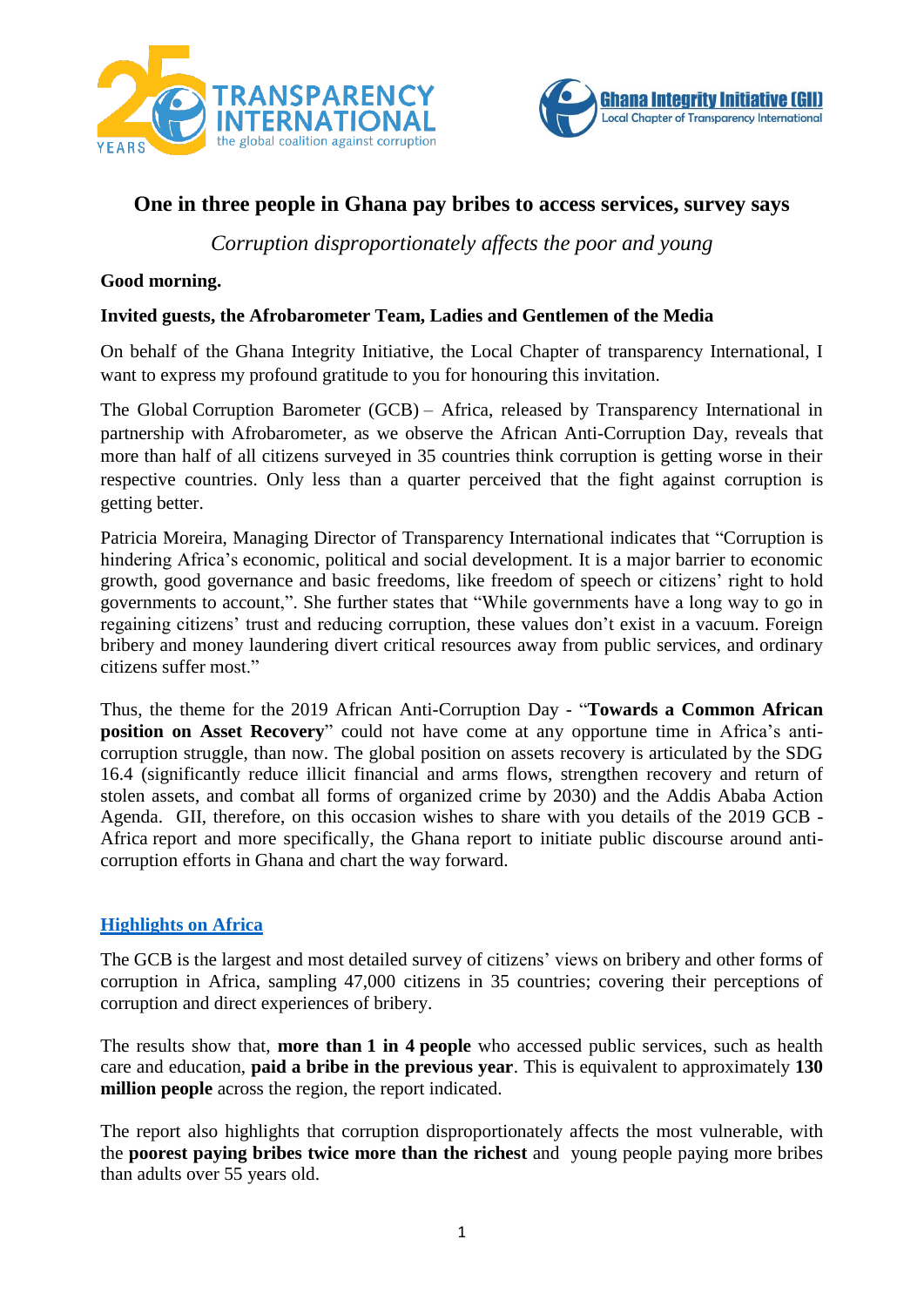



# **One in three people in Ghana pay bribes to access services, survey says**

*Corruption disproportionately affects the poor and young*

### **Good morning.**

### **Invited guests, the Afrobarometer Team, Ladies and Gentlemen of the Media**

On behalf of the Ghana Integrity Initiative, the Local Chapter of transparency International, I want to express my profound gratitude to you for honouring this invitation.

The Global Corruption Barometer (GCB) – Africa, released by Transparency International in partnership with Afrobarometer, as we observe the African Anti-Corruption Day, reveals that more than half of all citizens surveyed in 35 countries think corruption is getting worse in their respective countries. Only less than a quarter perceived that the fight against corruption is getting better.

Patricia Moreira, Managing Director of Transparency International indicates that "Corruption is hindering Africa's economic, political and social development. It is a major barrier to economic growth, good governance and basic freedoms, like freedom of speech or citizens' right to hold governments to account,". She further states that "While governments have a long way to go in regaining citizens' trust and reducing corruption, these values don't exist in a vacuum. Foreign bribery and money laundering divert critical resources away from public services, and ordinary citizens suffer most."

Thus, the theme for the 2019 African Anti-Corruption Day - "**Towards a Common African position on Asset Recovery**" could not have come at any opportune time in Africa's anticorruption struggle, than now. The global position on assets recovery is articulated by the SDG 16.4 (significantly reduce illicit financial and arms flows, strengthen recovery and return of stolen assets, and combat all forms of organized crime by 2030) and the Addis Ababa Action Agenda. GII, therefore, on this occasion wishes to share with you details of the 2019 GCB - Africa report and more specifically, the Ghana report to initiate public discourse around anticorruption efforts in Ghana and chart the way forward.

## **[Highlights](http://www.transparency.org/GCB10/africa) on Africa**

The GCB is the largest and most detailed survey of citizens' views on bribery and other forms of corruption in Africa, sampling 47,000 citizens in 35 countries; covering their perceptions of corruption and direct experiences of bribery.

The results show that, **more than 1 in 4 people** who accessed public services, such as health care and education, **paid a bribe in the previous year**. This is equivalent to approximately **130 million people** across the region, the report indicated.

The report also highlights that corruption disproportionately affects the most vulnerable, with the **poorest paying bribes twice more than the richest** and young people paying more bribes than adults over 55 years old.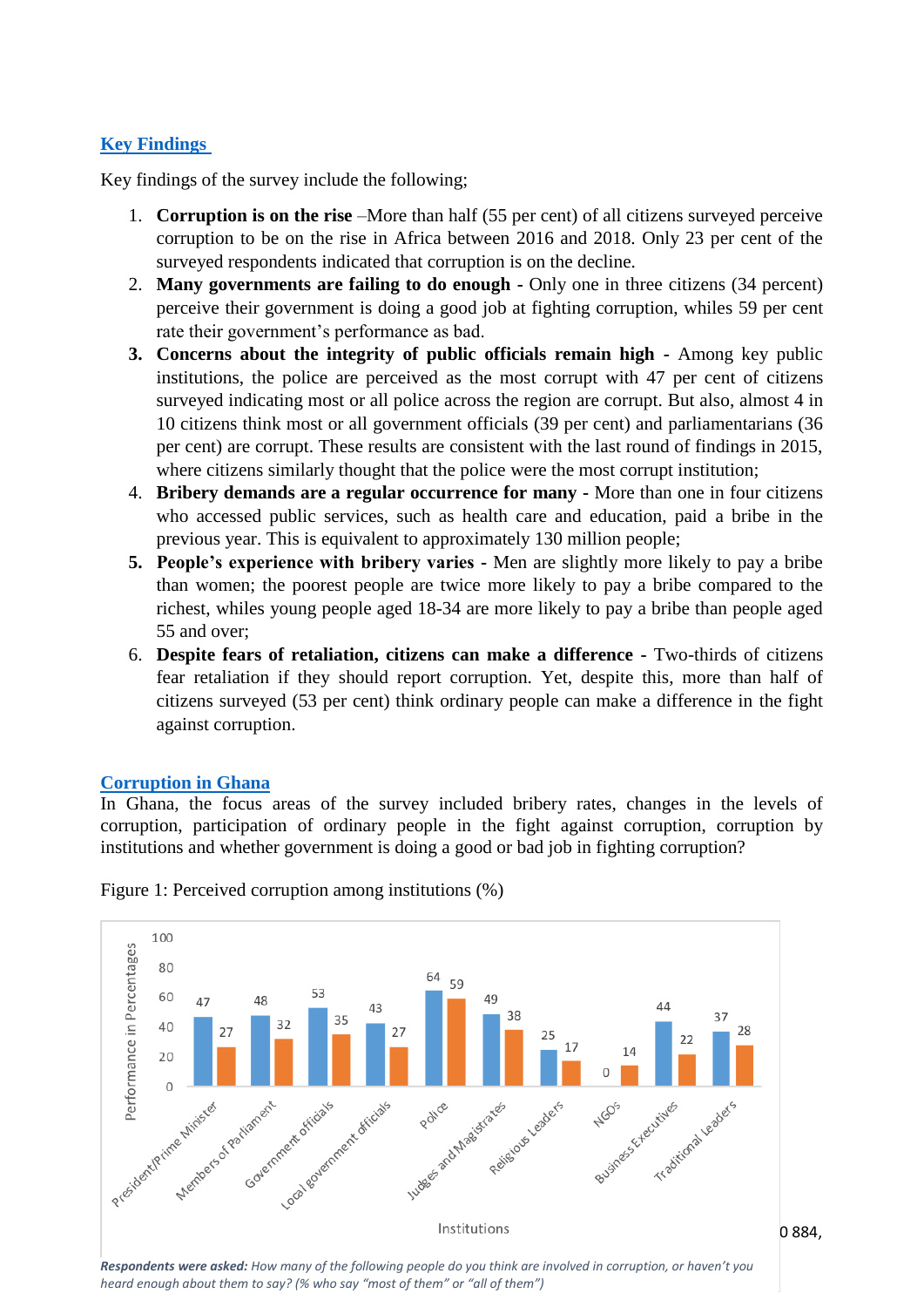### **Key Findings**

Key findings of the survey include the following;

- 1. **Corruption is on the rise** –More than half (55 per cent) of all citizens surveyed perceive corruption to be on the rise in Africa between 2016 and 2018. Only 23 per cent of the surveyed respondents indicated that corruption is on the decline.
- 2. **Many governments are failing to do enough -** Only one in three citizens (34 percent) perceive their government is doing a good job at fighting corruption, whiles 59 per cent rate their government's performance as bad.
- **3. Concerns about the integrity of public officials remain high -** Among key public institutions, the police are perceived as the most corrupt with 47 per cent of citizens surveyed indicating most or all police across the region are corrupt. But also, almost 4 in 10 citizens think most or all government officials (39 per cent) and parliamentarians (36 per cent) are corrupt. These results are consistent with the last round of findings in 2015, where citizens similarly thought that the police were the most corrupt institution;
- 4. **Bribery demands are a regular occurrence for many -** More than one in four citizens who accessed public services, such as health care and education, paid a bribe in the previous year. This is equivalent to approximately 130 million people;
- **5. People's experience with bribery varies -** Men are slightly more likely to pay a bribe than women; the poorest people are twice more likely to pay a bribe compared to the richest, whiles young people aged 18-34 are more likely to pay a bribe than people aged 55 and over;
- 6. **Despite fears of retaliation, citizens can make a difference -** Two-thirds of citizens fear retaliation if they should report corruption. Yet, despite this, more than half of citizens surveyed (53 per cent) think ordinary people can make a difference in the fight against corruption.

### **Corruption in Ghana**

In Ghana, the focus areas of the survey included bribery rates, changes in the levels of corruption, participation of ordinary people in the fight against corruption, corruption by institutions and whether government is doing a good or bad job in fighting corruption?



Figure 1: Perceived corruption among institutions (%)

|<br>**Respondents were asked:** How many of the following people do you think are involved in corruption, or haven't you *heard enough about them to say? (% who say "most of them" or "all of them")*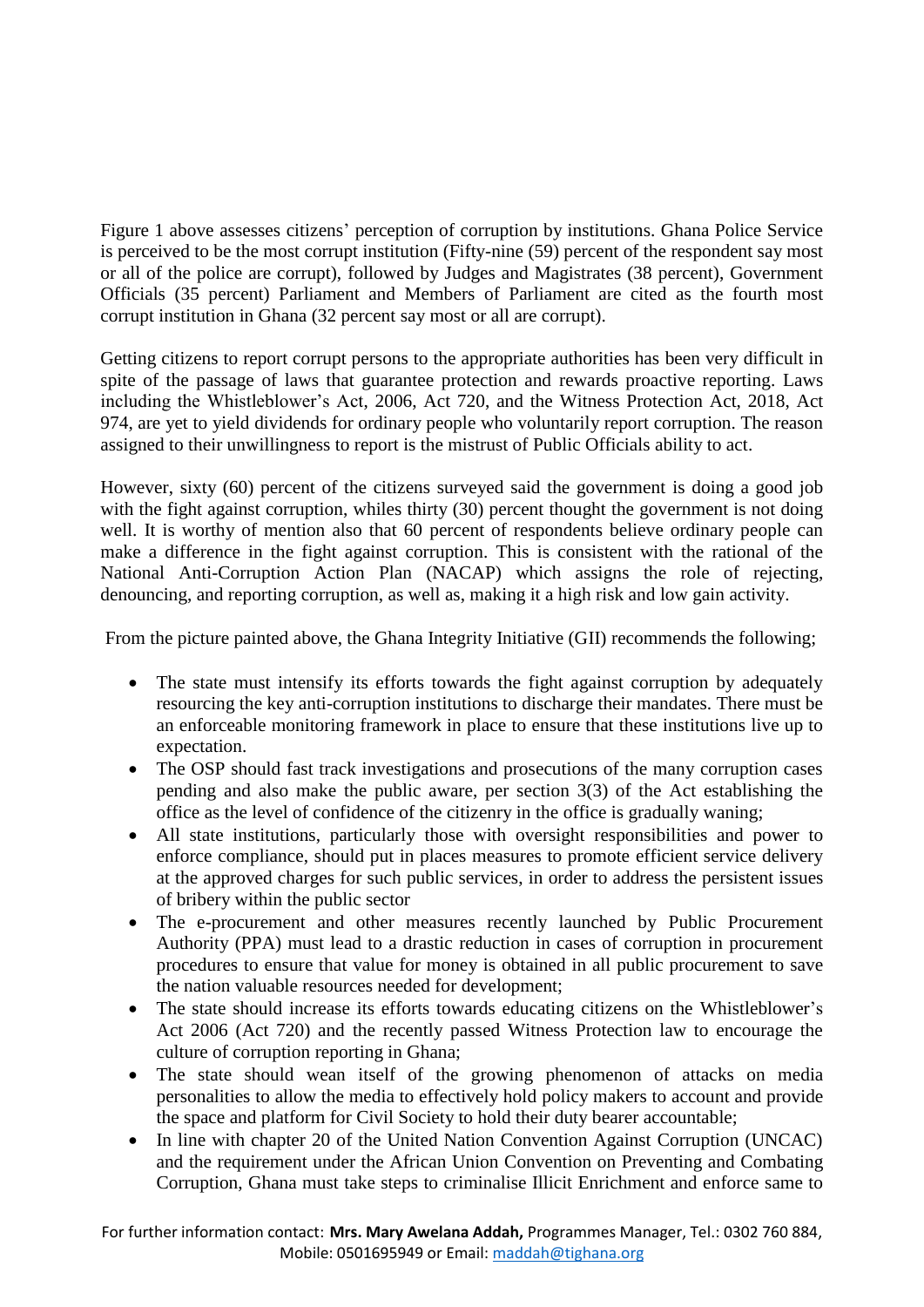Figure 1 above assesses citizens' perception of corruption by institutions. Ghana Police Service is perceived to be the most corrupt institution (Fifty-nine (59) percent of the respondent say most or all of the police are corrupt), followed by Judges and Magistrates (38 percent), Government Officials (35 percent) Parliament and Members of Parliament are cited as the fourth most corrupt institution in Ghana (32 percent say most or all are corrupt).

Getting citizens to report corrupt persons to the appropriate authorities has been very difficult in spite of the passage of laws that guarantee protection and rewards proactive reporting. Laws including the Whistleblower's Act, 2006, Act 720, and the Witness Protection Act, 2018, Act 974, are yet to yield dividends for ordinary people who voluntarily report corruption. The reason assigned to their unwillingness to report is the mistrust of Public Officials ability to act.

However, sixty (60) percent of the citizens surveyed said the government is doing a good job with the fight against corruption, whiles thirty (30) percent thought the government is not doing well. It is worthy of mention also that 60 percent of respondents believe ordinary people can make a difference in the fight against corruption. This is consistent with the rational of the National Anti-Corruption Action Plan (NACAP) which assigns the role of rejecting, denouncing, and reporting corruption, as well as, making it a high risk and low gain activity.

From the picture painted above, the Ghana Integrity Initiative (GII) recommends the following;

- The state must intensify its efforts towards the fight against corruption by adequately resourcing the key anti-corruption institutions to discharge their mandates. There must be an enforceable monitoring framework in place to ensure that these institutions live up to expectation.
- The OSP should fast track investigations and prosecutions of the many corruption cases pending and also make the public aware, per section 3(3) of the Act establishing the office as the level of confidence of the citizenry in the office is gradually waning;
- All state institutions, particularly those with oversight responsibilities and power to enforce compliance, should put in places measures to promote efficient service delivery at the approved charges for such public services, in order to address the persistent issues of bribery within the public sector
- The e-procurement and other measures recently launched by Public Procurement Authority (PPA) must lead to a drastic reduction in cases of corruption in procurement procedures to ensure that value for money is obtained in all public procurement to save the nation valuable resources needed for development;
- The state should increase its efforts towards educating citizens on the Whistleblower's Act 2006 (Act 720) and the recently passed Witness Protection law to encourage the culture of corruption reporting in Ghana;
- The state should wean itself of the growing phenomenon of attacks on media personalities to allow the media to effectively hold policy makers to account and provide the space and platform for Civil Society to hold their duty bearer accountable;
- In line with chapter 20 of the United Nation Convention Against Corruption (UNCAC) and the requirement under the African Union Convention on Preventing and Combating Corruption, Ghana must take steps to criminalise Illicit Enrichment and enforce same to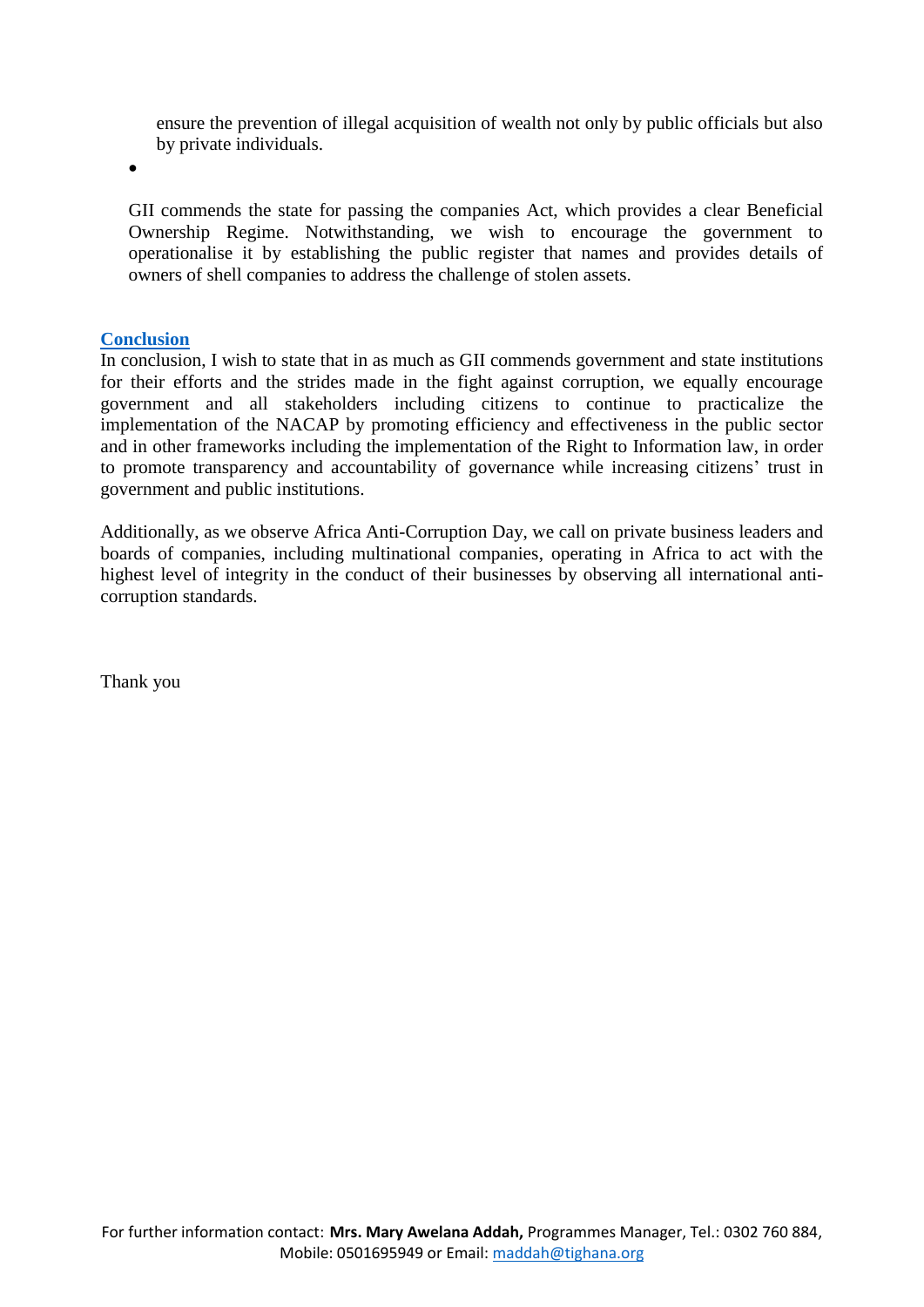ensure the prevention of illegal acquisition of wealth not only by public officials but also by private individuals.

•

GII commends the state for passing the companies Act, which provides a clear Beneficial Ownership Regime. Notwithstanding, we wish to encourage the government to operationalise it by establishing the public register that names and provides details of owners of shell companies to address the challenge of stolen assets.

### **Conclusion**

In conclusion, I wish to state that in as much as GII commends government and state institutions for their efforts and the strides made in the fight against corruption, we equally encourage government and all stakeholders including citizens to continue to practicalize the implementation of the NACAP by promoting efficiency and effectiveness in the public sector and in other frameworks including the implementation of the Right to Information law, in order to promote transparency and accountability of governance while increasing citizens' trust in government and public institutions.

Additionally, as we observe Africa Anti-Corruption Day, we call on private business leaders and boards of companies, including multinational companies, operating in Africa to act with the highest level of integrity in the conduct of their businesses by observing all international anticorruption standards.

Thank you